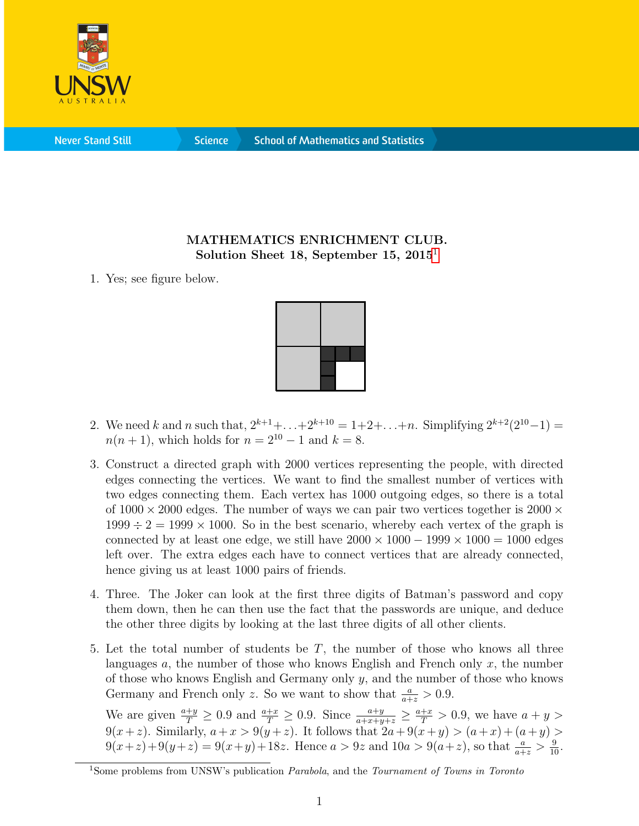

**Never Stand Still** 

**Science** 

## MATHEMATICS ENRICHMENT CLUB. Solution Sheet [1](#page-0-0)8, September 15,  $2015<sup>1</sup>$

1. Yes; see figure below.



- 2. We need k and n such that,  $2^{k+1}+\ldots+2^{k+10} = 1+2+\ldots+n$ . Simplifying  $2^{k+2}(2^{10}-1) =$  $n(n + 1)$ , which holds for  $n = 2^{10} - 1$  and  $k = 8$ .
- 3. Construct a directed graph with 2000 vertices representing the people, with directed edges connecting the vertices. We want to find the smallest number of vertices with two edges connecting them. Each vertex has 1000 outgoing edges, so there is a total of  $1000 \times 2000$  edges. The number of ways we can pair two vertices together is  $2000 \times$  $1999 \div 2 = 1999 \times 1000$ . So in the best scenario, whereby each vertex of the graph is connected by at least one edge, we still have  $2000 \times 1000 - 1999 \times 1000 = 1000$  edges left over. The extra edges each have to connect vertices that are already connected, hence giving us at least 1000 pairs of friends.
- 4. Three. The Joker can look at the first three digits of Batman's password and copy them down, then he can then use the fact that the passwords are unique, and deduce the other three digits by looking at the last three digits of all other clients.
- 5. Let the total number of students be  $T$ , the number of those who knows all three languages  $a$ , the number of those who knows English and French only  $x$ , the number of those who knows English and Germany only  $y$ , and the number of those who knows Germany and French only z. So we want to show that  $\frac{a}{a+z} > 0.9$ .

We are given  $\frac{a+y}{T} \ge 0.9$  and  $\frac{a+x}{T} \ge 0.9$ . Since  $\frac{a+y}{a+x+y+z} \ge \frac{a+x}{T} > 0.9$ , we have  $a+y$  $9(x+z)$ . Similarly,  $a+x > 9(y+z)$ . It follows that  $2a+9(x+y) > (a+x)+(a+y) >$  $9(x+z)+9(y+z) = 9(x+y)+18z$ . Hence  $a > 9z$  and  $10a > 9(a+z)$ , so that  $\frac{a}{a+z} > \frac{9}{10}$ .

<span id="page-0-0"></span><sup>&</sup>lt;sup>1</sup>Some problems from UNSW's publication *Parabola*, and the *Tournament of Towns in Toronto*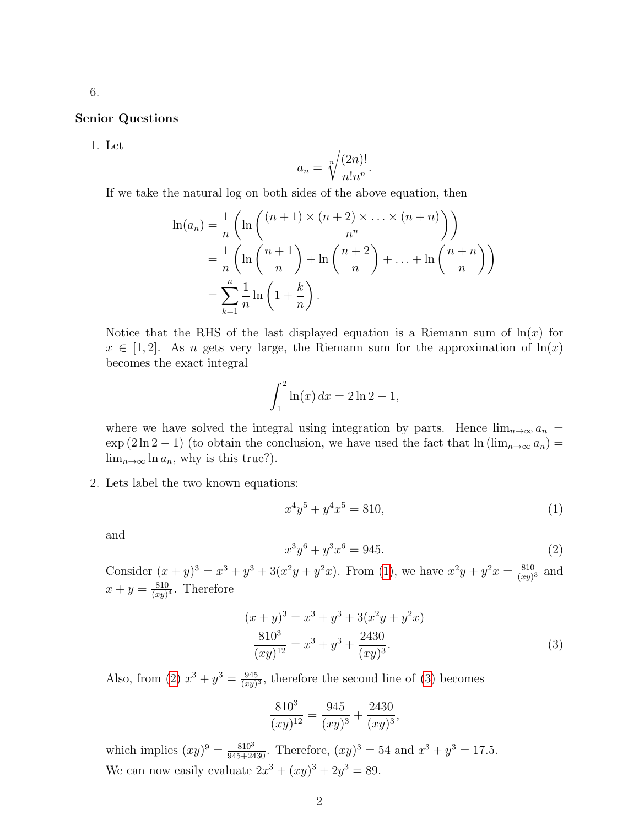## Senior Questions

1. Let

$$
a_n = \sqrt[n]{\frac{(2n)!}{n!n^n}}.
$$

If we take the natural log on both sides of the above equation, then

$$
\ln(a_n) = \frac{1}{n} \left( \ln \left( \frac{(n+1) \times (n+2) \times \dots \times (n+n)}{n^n} \right) \right)
$$
  
= 
$$
\frac{1}{n} \left( \ln \left( \frac{n+1}{n} \right) + \ln \left( \frac{n+2}{n} \right) + \dots + \ln \left( \frac{n+n}{n} \right) \right)
$$
  
= 
$$
\sum_{k=1}^n \frac{1}{n} \ln \left( 1 + \frac{k}{n} \right).
$$

Notice that the RHS of the last displayed equation is a Riemann sum of  $\ln(x)$  for  $x \in [1,2]$ . As n gets very large, the Riemann sum for the approximation of  $\ln(x)$ becomes the exact integral

$$
\int_{1}^{2} \ln(x) \, dx = 2 \ln 2 - 1,
$$

where we have solved the integral using integration by parts. Hence  $\lim_{n\to\infty} a_n$  =  $\exp(2\ln 2 - 1)$  (to obtain the conclusion, we have used the fact that  $\ln(\lim_{n\to\infty} a_n) =$  $\lim_{n\to\infty} \ln a_n$ , why is this true?).

2. Lets label the two known equations:

<span id="page-1-0"></span>
$$
x^4y^5 + y^4x^5 = 810,\t\t(1)
$$

and

<span id="page-1-2"></span><span id="page-1-1"></span>
$$
x^3y^6 + y^3x^6 = 945.
$$
 (2)

Consider  $(x+y)^3 = x^3 + y^3 + 3(x^2y + y^2x)$ . From [\(1\)](#page-1-0), we have  $x^2y + y^2x = \frac{810}{(xy)}$  $\frac{810}{(xy)^3}$  and  $x + y = \frac{810}{(xy)}$  $\frac{810}{(xy)^4}$ . Therefore

$$
(x + y)3 = x3 + y3 + 3(x2y + y2x)
$$
  

$$
\frac{8103}{(xy)12} = x3 + y3 + \frac{2430}{(xy)3}.
$$
 (3)

Also, from [\(2\)](#page-1-1)  $x^3 + y^3 = \frac{945}{(xu)}$  $\frac{945}{(xy)^3}$ , therefore the second line of [\(3\)](#page-1-2) becomes

$$
\frac{810^3}{(xy)^{12}} = \frac{945}{(xy)^3} + \frac{2430}{(xy)^3},
$$

which implies  $(xy)^9 = \frac{810^3}{945+2430}$ . Therefore,  $(xy)^3 = 54$  and  $x^3 + y^3 = 17.5$ . We can now easily evaluate  $2x^3 + (xy)^3 + 2y^3 = 89$ .